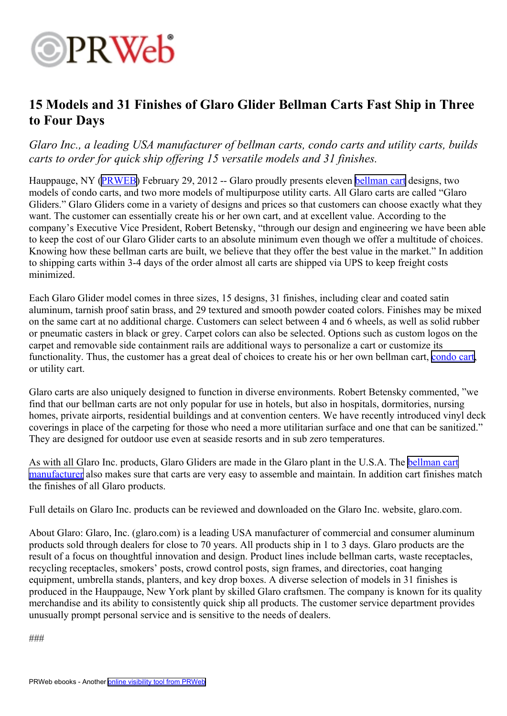

## **15 Models and 31 Finishes of Glaro Glider Bellman Carts Fast Ship in Three to Four Days**

## *Glaro Inc., <sup>a</sup> leading USA manufacturer of bellman carts, condo carts and utility carts, builds carts to order for quick ship offering 15 versatile models and 31 finishes.*

Hauppauge, NY ([PRWEB](http://www.prweb.com)) February 29, 2012 -- Glaro proudly presents eleven [bellman](http://glaro.com/bellman.htm) cart designs, two models of condo carts, and two more models of multipurpose utility carts. All Glaro carts are called "Glaro Gliders." Glaro Gliders come in <sup>a</sup> variety of designs and prices so that customers can choose exactly what they want. The customer can essentially create his or her own cart, and at excellent value. According to the company's Executive Vice President, Robert Betensky, "through our design and engineering we have been able to keep the cost of our Glaro Glider carts to an absolute minimum even though we offer <sup>a</sup> multitude of choices. Knowing how these bellman carts are built, we believe that they offer the best value in the market." In addition to shipping carts within 3-4 days of the order almost all carts are shipped via UPS to keep freight costs minimized.

Each Glaro Glider model comes in three sizes, 15 designs, 31 finishes, including clear and coated satin aluminum, tarnish proof satin brass, and 29 textured and smooth powder coated colors. Finishes may be mixed on the same cart at no additional charge. Customers can select between 4 and 6 wheels, as well as solid rubber or pneumatic casters in black or grey. Carpet colors can also be selected. Options such as custom logos on the carpe<sup>t</sup> and removable side containment rails are additional ways to personalize <sup>a</sup> cart or customize its functionality. Thus, the customer has a great deal of choices to create his or her own bellman cart, [condo](http://glaro.com/condo.htm) cart, or utility cart.

Glaro carts are also uniquely designed to function in diverse environments. Robert Betensky commented, "we find that our bellman carts are not only popular for use in hotels, but also in hospitals, dormitories, nursing homes, private airports, residential buildings and at convention centers. We have recently introduced vinyl deck coverings in place of the carpeting for those who need <sup>a</sup> more utilitarian surface and one that can be sanitized." They are designed for outdoor use even at seaside resorts and in sub zero temperatures.

As with all Glaro Inc. products, Glaro Gliders are made in the Glaro plant in the U.S.A. The [bellman](http://glaro.com) cart [manufacturer](http://glaro.com) also makes sure that carts are very easy to assemble and maintain. In addition cart finishes match the finishes of all Glaro products.

Full details on Glaro Inc. products can be reviewed and downloaded on the Glaro Inc. website, glaro.com.

About Glaro: Glaro, Inc. (glaro.com) is <sup>a</sup> leading USA manufacturer of commercial and consumer aluminum products sold through dealers for close to 70 years. All products ship in 1 to 3 days. Glaro products are the result of <sup>a</sup> focus on thoughtful innovation and design. Product lines include bellman carts, waste receptacles, recycling receptacles, smokers' posts, crowd control posts, sign frames, and directories, coat hanging equipment, umbrella stands, planters, and key drop boxes. A diverse selection of models in 31 finishes is produced in the Hauppauge, New York plant by skilled Glaro craftsmen. The company is known for its quality merchandise and its ability to consistently quick ship all products. The customer service department provides unusually promp<sup>t</sup> personal service and is sensitive to the needs of dealers.

###